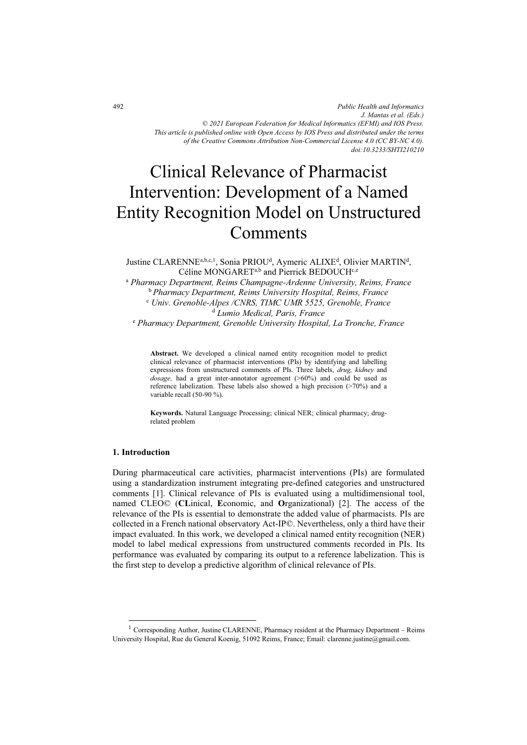*Public Health and Informatics J. Mantas et al. (Eds.) © 2021 European Federation for Medical Informatics (EFMI) and IOS Press. This article is published online with Open Access by IOS Press and distributed under the terms of the Creative Commons Attribution Non-Commercial License 4.0 (CC BY-NC 4.0). doi:10.3233/SHTI210210*

# Clinical Relevance of Pharmacist Intervention: Development of a Named Entity Recognition Model on Unstructured **Comments**

Justine CLARENNE<sup>a,b,c,1</sup>, Sonia PRIOU<sup>d</sup>, Aymeric ALIXE<sup>d</sup>, Olivier MARTIN<sup>d</sup>, Céline MONGARET<sup>a,b</sup> and Pierrick BEDOUCH<sup>c,e</sup>

<sup>a</sup> Pharmacy Department, Reims Champagne-Ardenne University, Reims, France b *Pharmacy Department, Reims University Hospital, Reims, France* c  *Univ. Grenoble-Alpes /CNRS, TIMC UMR 5525, Grenoble, France*  d  *Lumio Medical, Paris, France* 

e  *Pharmacy Department, Grenoble University Hospital, La Tronche, France* 

**Abstract.** We developed a clinical named entity recognition model to predict clinical relevance of pharmacist interventions (PIs) by identifying and labelling expressions from unstructured comments of PIs. Three labels, *drug, kidney* and *dosage*, had a great inter-annotator agreement (>60%) and could be used as reference labelization. These labels also showed a high precision (>70%) and a variable recall (50-90 %).

**Keywords.** Natural Language Processing; clinical NER; clinical pharmacy; drugrelated problem

### **1. Introduction**

j

During pharmaceutical care activities, pharmacist interventions (PIs) are formulated using a standardization instrument integrating pre-defined categories and unstructured comments [1]. Clinical relevance of PIs is evaluated using a multidimensional tool, named CLEO© (**CL**inical, **E**conomic, and **O**rganizational) [2]. The access of the relevance of the PIs is essential to demonstrate the added value of pharmacists. PIs are collected in a French national observatory Act-IP©. Nevertheless, only a third have their impact evaluated. In this work, we developed a clinical named entity recognition (NER) model to label medical expressions from unstructured comments recorded in PIs. Its performance was evaluated by comparing its output to a reference labelization. This is the first step to develop a predictive algorithm of clinical relevance of PIs.

<sup>&</sup>lt;sup>1</sup> Corresponding Author, Justine CLARENNE, Pharmacy resident at the Pharmacy Department – Reims University Hospital, Rue du General Koenig, 51092 Reims, France; Email: clarenne.justine@gmail.com.